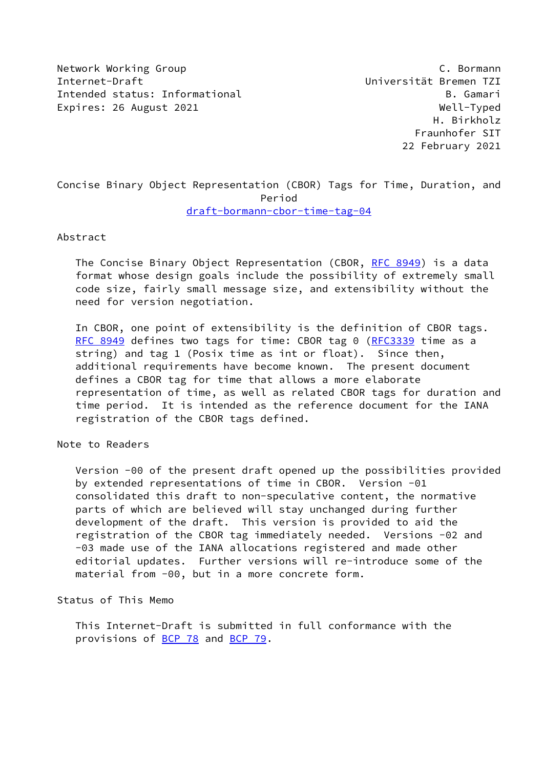Network Working Group C. Bormann Internet-Draft Universität Bremen TZI Intended status: Informational and B. Gamari Expires: 26 August 2021 Mell-Typed

 H. Birkholz Fraunhofer SIT 22 February 2021

Concise Binary Object Representation (CBOR) Tags for Time, Duration, and Period [draft-bormann-cbor-time-tag-04](https://datatracker.ietf.org/doc/pdf/draft-bormann-cbor-time-tag-04)

### Abstract

 The Concise Binary Object Representation (CBOR, [RFC 8949](https://datatracker.ietf.org/doc/pdf/rfc8949)) is a data format whose design goals include the possibility of extremely small code size, fairly small message size, and extensibility without the need for version negotiation.

 In CBOR, one point of extensibility is the definition of CBOR tags. [RFC 8949](https://datatracker.ietf.org/doc/pdf/rfc8949) defines two tags for time: CBOR tag 0 [\(RFC3339](https://datatracker.ietf.org/doc/pdf/rfc3339) time as a string) and tag 1 (Posix time as int or float). Since then, additional requirements have become known. The present document defines a CBOR tag for time that allows a more elaborate representation of time, as well as related CBOR tags for duration and time period. It is intended as the reference document for the IANA registration of the CBOR tags defined.

# Note to Readers

 Version -00 of the present draft opened up the possibilities provided by extended representations of time in CBOR. Version -01 consolidated this draft to non-speculative content, the normative parts of which are believed will stay unchanged during further development of the draft. This version is provided to aid the registration of the CBOR tag immediately needed. Versions -02 and -03 made use of the IANA allocations registered and made other editorial updates. Further versions will re-introduce some of the material from -00, but in a more concrete form.

# Status of This Memo

 This Internet-Draft is submitted in full conformance with the provisions of [BCP 78](https://datatracker.ietf.org/doc/pdf/bcp78) and [BCP 79](https://datatracker.ietf.org/doc/pdf/bcp79).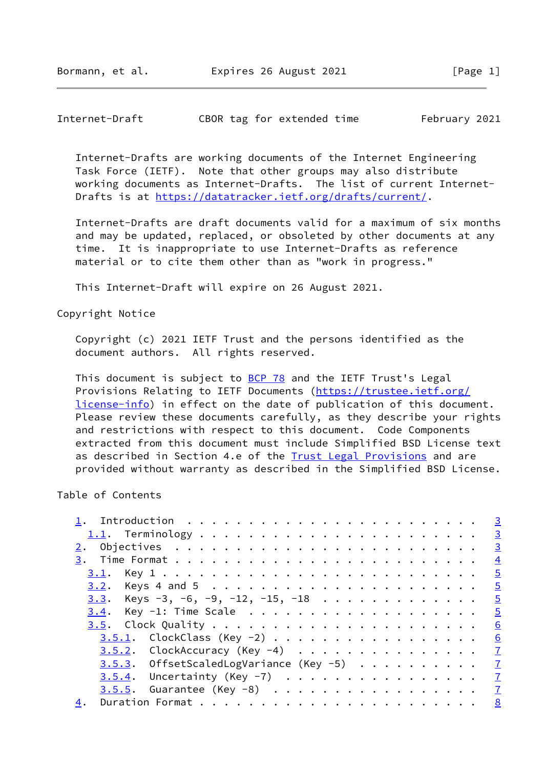Internet-Draft CBOR tag for extended time February 2021

 Internet-Drafts are working documents of the Internet Engineering Task Force (IETF). Note that other groups may also distribute working documents as Internet-Drafts. The list of current Internet- Drafts is at<https://datatracker.ietf.org/drafts/current/>.

 Internet-Drafts are draft documents valid for a maximum of six months and may be updated, replaced, or obsoleted by other documents at any time. It is inappropriate to use Internet-Drafts as reference material or to cite them other than as "work in progress."

This Internet-Draft will expire on 26 August 2021.

Copyright Notice

 Copyright (c) 2021 IETF Trust and the persons identified as the document authors. All rights reserved.

This document is subject to **[BCP 78](https://datatracker.ietf.org/doc/pdf/bcp78)** and the IETF Trust's Legal Provisions Relating to IETF Documents ([https://trustee.ietf.org/](https://trustee.ietf.org/license-info) [license-info](https://trustee.ietf.org/license-info)) in effect on the date of publication of this document. Please review these documents carefully, as they describe your rights and restrictions with respect to this document. Code Components extracted from this document must include Simplified BSD License text as described in Section 4.e of the **[Trust Legal Provisions](https://trustee.ietf.org/license-info)** and are provided without warranty as described in the Simplified BSD License.

# Table of Contents

|                                               | $\overline{3}$ |
|-----------------------------------------------|----------------|
|                                               |                |
|                                               |                |
|                                               | $\frac{4}{3}$  |
|                                               |                |
|                                               |                |
| <u>3.3</u> . Keys -3, -6, -9, -12, -15, -18 5 |                |
| $3.4$ . Key -1: Time Scale                    | $\overline{5}$ |
|                                               | 6              |
| <u>3.5.1</u> . ClockClass (Key -2)            | 6              |
| $3.5.2$ . ClockAccuracy (Key -4) 7            |                |
| 3.5.3. OffsetScaledLogVariance (Key -5) 7     |                |
| $3.5.4$ . Uncertainty (Key -7) 7              |                |
| $3.5.5.$ Guarantee (Key -8) $\frac{7}{4}$     |                |
| 4.                                            |                |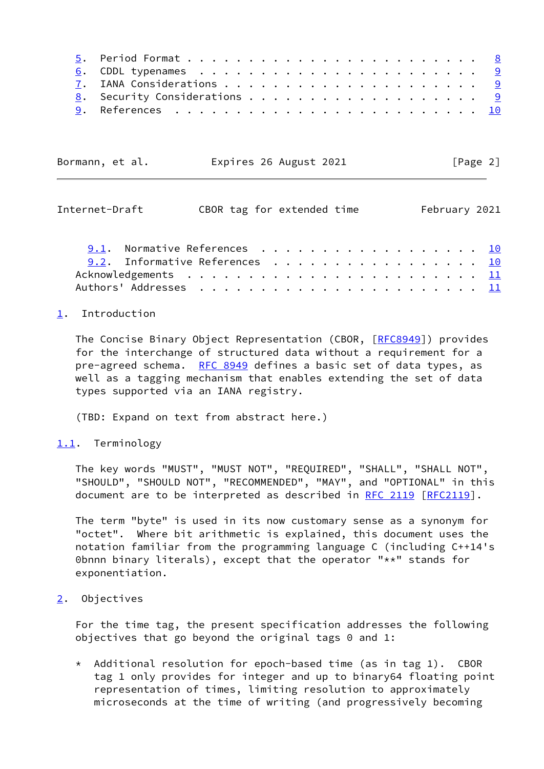| Bormann, et al. | Expires 26 August 2021 | [Page 2] |  |
|-----------------|------------------------|----------|--|
|                 |                        |          |  |

<span id="page-2-1"></span>

| Internet-Draft                 | CBOR tag for extended time |  |  |  |  |  |  |  | February 2021 |
|--------------------------------|----------------------------|--|--|--|--|--|--|--|---------------|
| 9.1. Normative References 10   |                            |  |  |  |  |  |  |  |               |
| 9.2. Informative References 10 |                            |  |  |  |  |  |  |  |               |
|                                |                            |  |  |  |  |  |  |  |               |
|                                |                            |  |  |  |  |  |  |  |               |

#### <span id="page-2-0"></span>[1](#page-2-0). Introduction

 The Concise Binary Object Representation (CBOR, [\[RFC8949](https://datatracker.ietf.org/doc/pdf/rfc8949)]) provides for the interchange of structured data without a requirement for a pre-agreed schema. [RFC 8949](https://datatracker.ietf.org/doc/pdf/rfc8949) defines a basic set of data types, as well as a tagging mechanism that enables extending the set of data types supported via an IANA registry.

(TBD: Expand on text from abstract here.)

#### <span id="page-2-2"></span>[1.1](#page-2-2). Terminology

 The key words "MUST", "MUST NOT", "REQUIRED", "SHALL", "SHALL NOT", "SHOULD", "SHOULD NOT", "RECOMMENDED", "MAY", and "OPTIONAL" in this document are to be interpreted as described in [RFC 2119 \[RFC2119](https://datatracker.ietf.org/doc/pdf/rfc2119)].

 The term "byte" is used in its now customary sense as a synonym for "octet". Where bit arithmetic is explained, this document uses the notation familiar from the programming language C (including C++14's 0bnnn binary literals), except that the operator "\*\*" stands for exponentiation.

## <span id="page-2-3"></span>[2](#page-2-3). Objectives

 For the time tag, the present specification addresses the following objectives that go beyond the original tags 0 and 1:

 $*$  Additional resolution for epoch-based time (as in tag 1). CBOR tag 1 only provides for integer and up to binary64 floating point representation of times, limiting resolution to approximately microseconds at the time of writing (and progressively becoming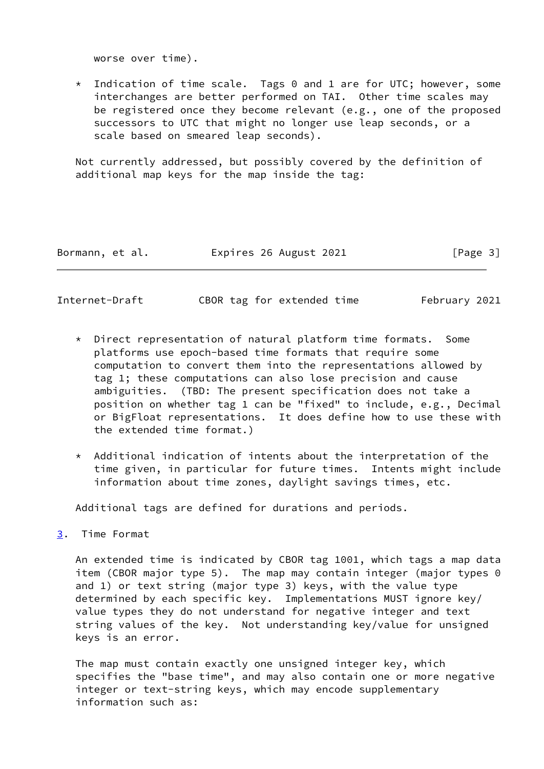worse over time).

 $*$  Indication of time scale. Tags 0 and 1 are for UTC; however, some interchanges are better performed on TAI. Other time scales may be registered once they become relevant (e.g., one of the proposed successors to UTC that might no longer use leap seconds, or a scale based on smeared leap seconds).

 Not currently addressed, but possibly covered by the definition of additional map keys for the map inside the tag:

| Bormann, et al. | Expires 26 August 2021 | [Page 3] |
|-----------------|------------------------|----------|
|-----------------|------------------------|----------|

<span id="page-3-1"></span>Internet-Draft CBOR tag for extended time February 2021

- \* Direct representation of natural platform time formats. Some platforms use epoch-based time formats that require some computation to convert them into the representations allowed by tag 1; these computations can also lose precision and cause ambiguities. (TBD: The present specification does not take a position on whether tag 1 can be "fixed" to include, e.g., Decimal or BigFloat representations. It does define how to use these with the extended time format.)
- \* Additional indication of intents about the interpretation of the time given, in particular for future times. Intents might include information about time zones, daylight savings times, etc.

Additional tags are defined for durations and periods.

<span id="page-3-0"></span>[3](#page-3-0). Time Format

 An extended time is indicated by CBOR tag 1001, which tags a map data item (CBOR major type 5). The map may contain integer (major types 0 and 1) or text string (major type 3) keys, with the value type determined by each specific key. Implementations MUST ignore key/ value types they do not understand for negative integer and text string values of the key. Not understanding key/value for unsigned keys is an error.

 The map must contain exactly one unsigned integer key, which specifies the "base time", and may also contain one or more negative integer or text-string keys, which may encode supplementary information such as: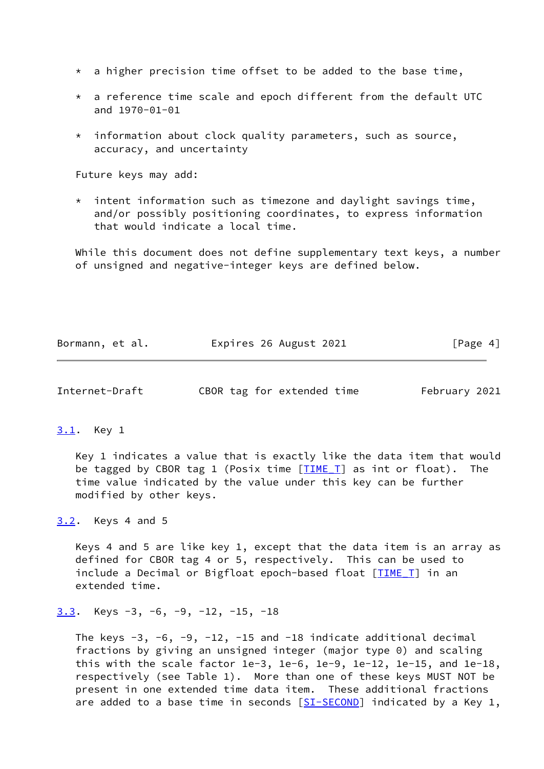- $*$  a higher precision time offset to be added to the base time,
- $*$  a reference time scale and epoch different from the default UTC and 1970-01-01
- information about clock quality parameters, such as source, accuracy, and uncertainty

Future keys may add:

 $*$  intent information such as timezone and daylight savings time, and/or possibly positioning coordinates, to express information that would indicate a local time.

 While this document does not define supplementary text keys, a number of unsigned and negative-integer keys are defined below.

| Bormann, et al. | Expires 26 August 2021 | [Page 4] |
|-----------------|------------------------|----------|
|-----------------|------------------------|----------|

<span id="page-4-1"></span>

| Internet-Draft |  | CBOR tag for extended time | February 2021 |
|----------------|--|----------------------------|---------------|
|----------------|--|----------------------------|---------------|

### <span id="page-4-0"></span>[3.1](#page-4-0). Key 1

 Key 1 indicates a value that is exactly like the data item that would be tagged by CBOR tag 1 (Posix time  $[TIME I]$  as int or float). The time value indicated by the value under this key can be further modified by other keys.

<span id="page-4-2"></span>[3.2](#page-4-2). Keys 4 and 5

 Keys 4 and 5 are like key 1, except that the data item is an array as defined for CBOR tag 4 or 5, respectively. This can be used to include a Decimal or Bigfloat epoch-based float [TIME T] in an extended time.

```
3.3. Keys -3, -6, -9, -12, -15, -18
```
The keys  $-3$ ,  $-6$ ,  $-9$ ,  $-12$ ,  $-15$  and  $-18$  indicate additional decimal fractions by giving an unsigned integer (major type 0) and scaling this with the scale factor 1e-3, 1e-6, 1e-9, 1e-12, 1e-15, and 1e-18, respectively (see Table 1). More than one of these keys MUST NOT be present in one extended time data item. These additional fractions are added to a base time in seconds  $[ST-SECOND]$  indicated by a Key 1,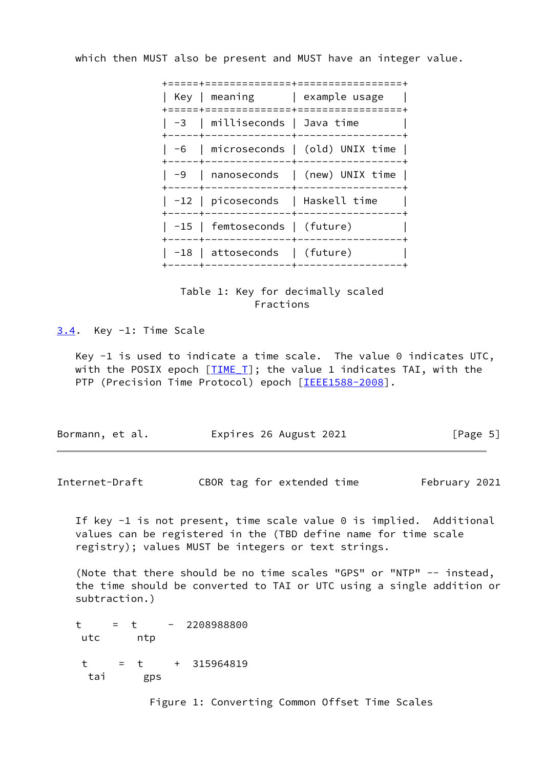which then MUST also be present and MUST have an integer value.

|  | =============+=======                               |                                      |
|--|-----------------------------------------------------|--------------------------------------|
|  | -------+-------                                     | Key   meaning   example usage        |
|  | -3   milliseconds   Java time                       | +--------------+-----------------    |
|  |                                                     | -6   microseconds   (old) UNIX time  |
|  |                                                     | $-9$   nanoseconds   (new) UNIX time |
|  | -12   picoseconds   Haskell time<br>--------+------ |                                      |
|  | -15   femtoseconds   (future)                       |                                      |
|  | $\vert$ -18 $\vert$ attoseconds $\vert$ (future)    |                                      |
|  |                                                     |                                      |



<span id="page-5-0"></span>[3.4](#page-5-0). Key -1: Time Scale

Key  $-1$  is used to indicate a time scale. The value 0 indicates UTC, with the POSIX epoch  $[TIME_T]$  $[TIME_T]$ ; the value 1 indicates TAI, with the PTP (Precision Time Protocol) epoch [\[IEEE1588-2008](#page-10-4)].

| Bormann, et al. | Expires 26 August 2021 | [Page 5] |
|-----------------|------------------------|----------|
|-----------------|------------------------|----------|

<span id="page-5-1"></span>Internet-Draft CBOR tag for extended time February 2021

 If key -1 is not present, time scale value 0 is implied. Additional values can be registered in the (TBD define name for time scale registry); values MUST be integers or text strings.

 (Note that there should be no time scales "GPS" or "NTP" -- instead, the time should be converted to TAI or UTC using a single addition or subtraction.)

 t = t - 2208988800 utc ntp  $t = t + 315964819$ tai gps

Figure 1: Converting Common Offset Time Scales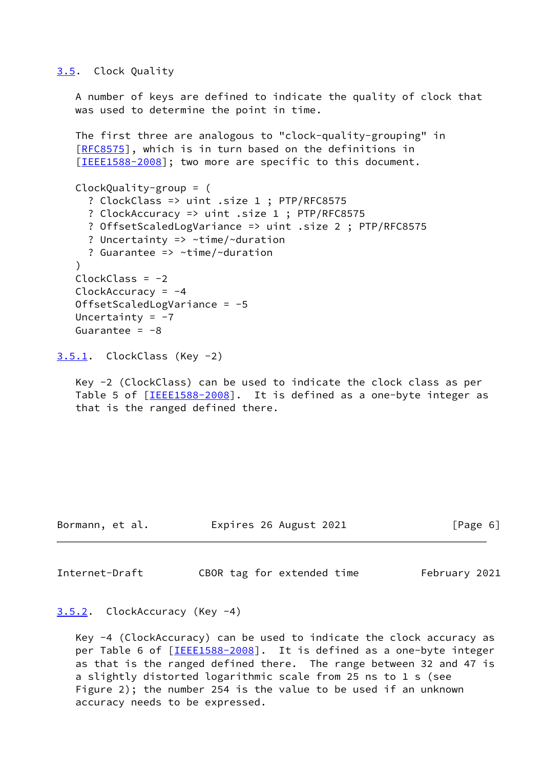### <span id="page-6-0"></span>[3.5](#page-6-0). Clock Quality

 A number of keys are defined to indicate the quality of clock that was used to determine the point in time.

 The first three are analogous to "clock-quality-grouping" in [\[RFC8575](https://datatracker.ietf.org/doc/pdf/rfc8575)], which is in turn based on the definitions in [\[IEEE1588-2008](#page-10-4)]; two more are specific to this document.

```
 ClockQuality-group = (
   ? ClockClass => uint .size 1 ; PTP/RFC8575
   ? ClockAccuracy => uint .size 1 ; PTP/RFC8575
   ? OffsetScaledLogVariance => uint .size 2 ; PTP/RFC8575
   ? Uncertainty => ~time/~duration
   ? Guarantee => ~time/~duration
\lambdaClockClass = -2ClockAccuracy = -4 OffsetScaledLogVariance = -5
Uncertainty = -7Guarantee = -8
```
<span id="page-6-1"></span>[3.5.1](#page-6-1). ClockClass (Key -2)

 Key -2 (ClockClass) can be used to indicate the clock class as per Table 5 of [[IEEE1588-2008\]](#page-10-4). It is defined as a one-byte integer as that is the ranged defined there.

Bormann, et al. Expires 26 August 2021 [Page 6]

<span id="page-6-3"></span>Internet-Draft CBOR tag for extended time February 2021

# <span id="page-6-2"></span>[3.5.2](#page-6-2). ClockAccuracy (Key -4)

 Key -4 (ClockAccuracy) can be used to indicate the clock accuracy as per Table 6 of [\[IEEE1588-2008](#page-10-4)]. It is defined as a one-byte integer as that is the ranged defined there. The range between 32 and 47 is a slightly distorted logarithmic scale from 25 ns to 1 s (see Figure 2); the number 254 is the value to be used if an unknown accuracy needs to be expressed.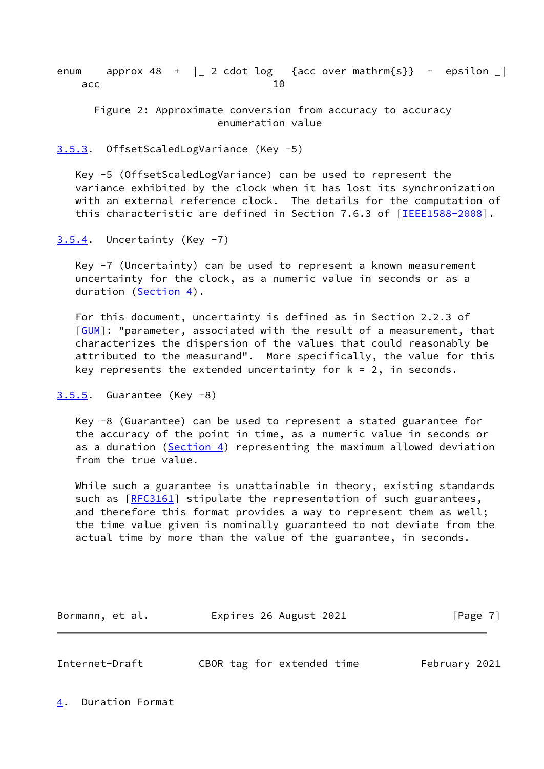enum approx 48 +  $\vert$  2 cdot log {acc over mathrm{s}} - epsilon  $\vert$ acc and 10

 Figure 2: Approximate conversion from accuracy to accuracy enumeration value

## <span id="page-7-0"></span>[3.5.3](#page-7-0). OffsetScaledLogVariance (Key -5)

 Key -5 (OffsetScaledLogVariance) can be used to represent the variance exhibited by the clock when it has lost its synchronization with an external reference clock. The details for the computation of this characteristic are defined in Section 7.6.3 of [\[IEEE1588-2008](#page-10-4)].

<span id="page-7-1"></span> $3.5.4$ . Uncertainty (Key  $-7$ )

 Key -7 (Uncertainty) can be used to represent a known measurement uncertainty for the clock, as a numeric value in seconds or as a duration [\(Section 4\)](#page-7-3).

 For this document, uncertainty is defined as in Section 2.2.3 of [\[GUM](#page-10-5)]: "parameter, associated with the result of a measurement, that characterizes the dispersion of the values that could reasonably be attributed to the measurand". More specifically, the value for this key represents the extended uncertainty for  $k = 2$ , in seconds.

```
3.5.5. Guarantee (Key -8)
```
 Key -8 (Guarantee) can be used to represent a stated guarantee for the accuracy of the point in time, as a numeric value in seconds or as a duration ([Section 4\)](#page-7-3) representing the maximum allowed deviation from the true value.

 While such a guarantee is unattainable in theory, existing standards such as [\[RFC3161](https://datatracker.ietf.org/doc/pdf/rfc3161)] stipulate the representation of such guarantees, and therefore this format provides a way to represent them as well; the time value given is nominally guaranteed to not deviate from the actual time by more than the value of the guarantee, in seconds.

Bormann, et al. **Expires 26 August 2021** [Page 7]

<span id="page-7-4"></span>Internet-Draft CBOR tag for extended time February 2021

<span id="page-7-3"></span>[4](#page-7-3). Duration Format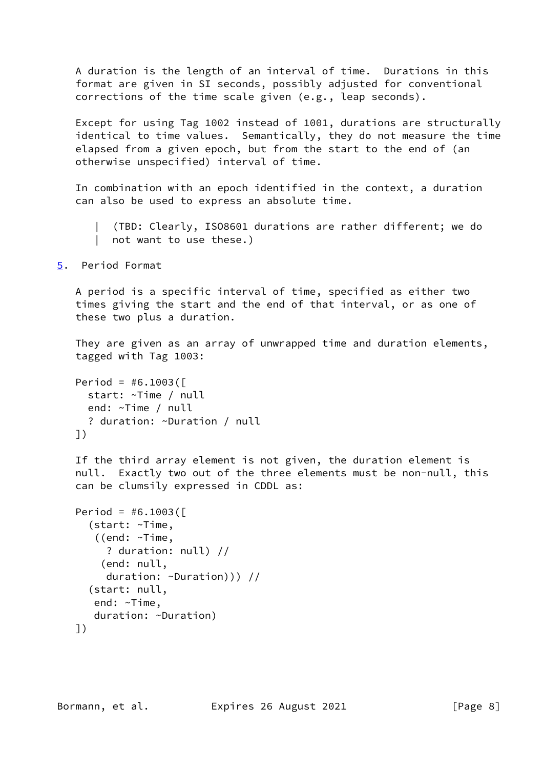A duration is the length of an interval of time. Durations in this format are given in SI seconds, possibly adjusted for conventional corrections of the time scale given (e.g., leap seconds).

 Except for using Tag 1002 instead of 1001, durations are structurally identical to time values. Semantically, they do not measure the time elapsed from a given epoch, but from the start to the end of (an otherwise unspecified) interval of time.

 In combination with an epoch identified in the context, a duration can also be used to express an absolute time.

 | (TBD: Clearly, ISO8601 durations are rather different; we do | not want to use these.)

<span id="page-8-0"></span>[5](#page-8-0). Period Format

 A period is a specific interval of time, specified as either two times giving the start and the end of that interval, or as one of these two plus a duration.

 They are given as an array of unwrapped time and duration elements, tagged with Tag 1003:

```
Period = #6.1003( start: ~Time / null
   end: ~Time / null
   ? duration: ~Duration / null
 ])
```
 If the third array element is not given, the duration element is null. Exactly two out of the three elements must be non-null, this can be clumsily expressed in CDDL as:

```
Period = #6.1003( (start: ~Time,
    ((end: ~Time,
      ? duration: null) //
     (end: null,
      duration: ~Duration))) //
   (start: null,
    end: ~Time,
    duration: ~Duration)
 ])
```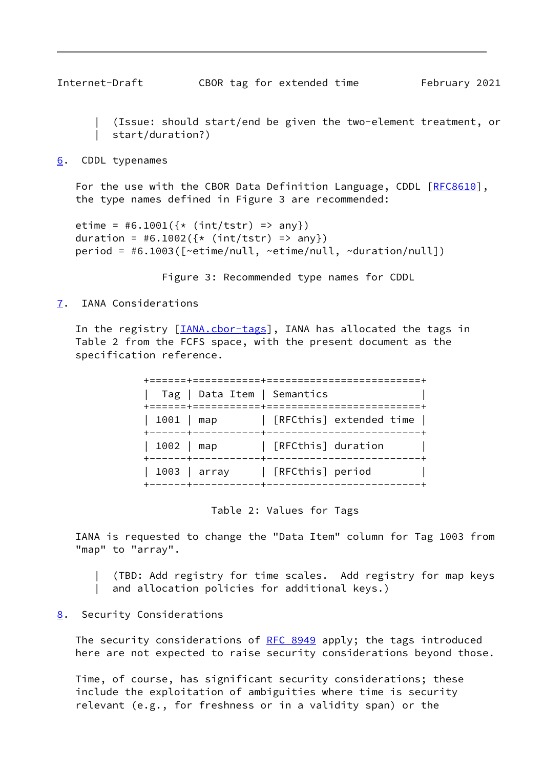<span id="page-9-1"></span>

 | (Issue: should start/end be given the two-element treatment, or | start/duration?)

#### <span id="page-9-0"></span>[6](#page-9-0). CDDL typenames

For the use with the CBOR Data Definition Language, CDDL [\[RFC8610](https://datatracker.ietf.org/doc/pdf/rfc8610)], the type names defined in Figure 3 are recommended:

```
etime = #6.1001(\{*(int/tstr) \implies any\})duration = #6.1002(\{*(int/tstr) \Rightarrow any\}) period = #6.1003([~etime/null, ~etime/null, ~duration/null])
```
Figure 3: Recommended type names for CDDL

# <span id="page-9-2"></span>[7](#page-9-2). IANA Considerations

In the registry [*IANA.cbor-tags*], IANA has allocated the tags in Table 2 from the FCFS space, with the present document as the specification reference.

|                                                  | Tag   Data Item   Semantics |                         |
|--------------------------------------------------|-----------------------------|-------------------------|
| 1001   map<br>. - - - - - - <del>+</del> - - - . |                             | [RFCthis] extended time |
| 1002   map<br>$+ - - - - - + - - - -$            |                             | [RFCthis] duration      |
|                                                  | $1003$   array              | [RFCthis] period        |

Table 2: Values for Tags

 IANA is requested to change the "Data Item" column for Tag 1003 from "map" to "array".

| (TBD: Add registry for time scales. Add registry for map keys

| and allocation policies for additional keys.)

### <span id="page-9-3"></span>[8](#page-9-3). Security Considerations

The security considerations of [RFC 8949](https://datatracker.ietf.org/doc/pdf/rfc8949) apply; the tags introduced here are not expected to raise security considerations beyond those.

 Time, of course, has significant security considerations; these include the exploitation of ambiguities where time is security relevant (e.g., for freshness or in a validity span) or the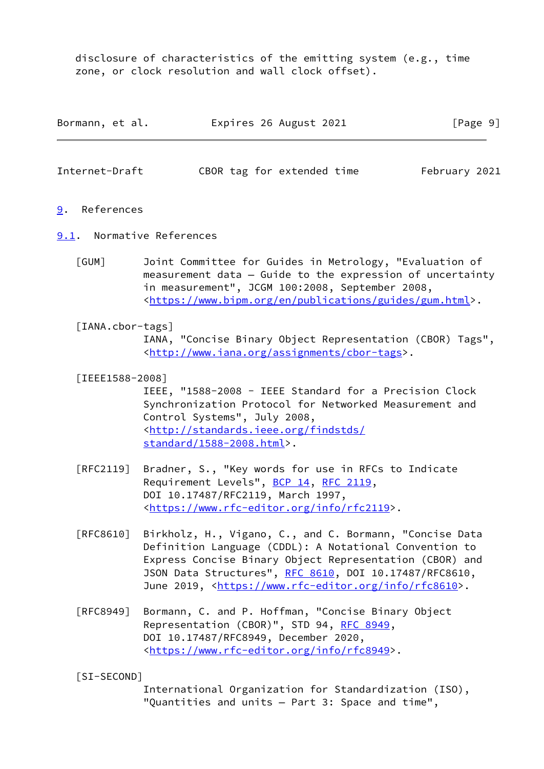disclosure of characteristics of the emitting system (e.g., time zone, or clock resolution and wall clock offset).

| Bormann, et al. | Expires 26 August 2021 | [Page 9] |
|-----------------|------------------------|----------|
|-----------------|------------------------|----------|

<span id="page-10-1"></span>Internet-Draft CBOR tag for extended time February 2021

- <span id="page-10-0"></span>[9](#page-10-0). References
- <span id="page-10-5"></span><span id="page-10-2"></span>[9.1](#page-10-2). Normative References
	- [GUM] Joint Committee for Guides in Metrology, "Evaluation of measurement data — Guide to the expression of uncertainty in measurement", JCGM 100:2008, September 2008, <[https://www.bipm.org/en/publications/guides/gum.html>](https://www.bipm.org/en/publications/guides/gum.html).
	- [IANA.cbor-tags] IANA, "Concise Binary Object Representation (CBOR) Tags", <[http://www.iana.org/assignments/cbor-tags>](http://www.iana.org/assignments/cbor-tags).
	- [IEEE1588-2008]

<span id="page-10-6"></span><span id="page-10-4"></span> IEEE, "1588-2008 - IEEE Standard for a Precision Clock Synchronization Protocol for Networked Measurement and Control Systems", July 2008, <[http://standards.ieee.org/findstds/](http://standards.ieee.org/findstds/standard/1588-2008.html) [standard/1588-2008.html](http://standards.ieee.org/findstds/standard/1588-2008.html)>.

- [RFC2119] Bradner, S., "Key words for use in RFCs to Indicate Requirement Levels", [BCP 14](https://datatracker.ietf.org/doc/pdf/bcp14), [RFC 2119](https://datatracker.ietf.org/doc/pdf/rfc2119), DOI 10.17487/RFC2119, March 1997, <[https://www.rfc-editor.org/info/rfc2119>](https://www.rfc-editor.org/info/rfc2119).
- [RFC8610] Birkholz, H., Vigano, C., and C. Bormann, "Concise Data Definition Language (CDDL): A Notational Convention to Express Concise Binary Object Representation (CBOR) and JSON Data Structures", [RFC 8610](https://datatracker.ietf.org/doc/pdf/rfc8610), DOI 10.17487/RFC8610, June 2019, <<https://www.rfc-editor.org/info/rfc8610>>.
- [RFC8949] Bormann, C. and P. Hoffman, "Concise Binary Object Representation (CBOR)", STD 94, [RFC 8949,](https://datatracker.ietf.org/doc/pdf/rfc8949) DOI 10.17487/RFC8949, December 2020, <[https://www.rfc-editor.org/info/rfc8949>](https://www.rfc-editor.org/info/rfc8949).
- <span id="page-10-3"></span>[SI-SECOND]

 International Organization for Standardization (ISO), "Quantities and units — Part 3: Space and time",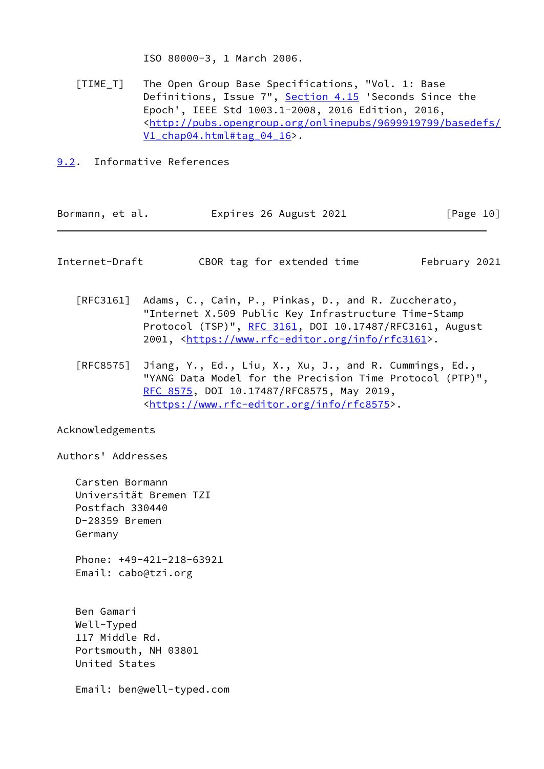ISO 80000-3, 1 March 2006.

- <span id="page-11-2"></span> [TIME\_T] The Open Group Base Specifications, "Vol. 1: Base Definitions, Issue  $7"$ , Section  $4.15$  'Seconds Since the Epoch', IEEE Std 1003.1-2008, 2016 Edition, 2016, <[http://pubs.opengroup.org/onlinepubs/9699919799/basedefs/](http://pubs.opengroup.org/onlinepubs/9699919799/basedefs/V1_chap04.html#tag_04_16) V1 chap04.html#tag 04 16>.
- <span id="page-11-0"></span>[9.2](#page-11-0). Informative References

<span id="page-11-1"></span>

| Bormann, et al.                                                 | Expires 26 August 2021                                                                                                                                                                                                                      | [Page 10]     |
|-----------------------------------------------------------------|---------------------------------------------------------------------------------------------------------------------------------------------------------------------------------------------------------------------------------------------|---------------|
| Internet-Draft                                                  | CBOR tag for extended time                                                                                                                                                                                                                  | February 2021 |
| $\lceil \mathsf{RFC}3161 \rceil$                                | Adams, C., Cain, P., Pinkas, D., and R. Zuccherato,<br>"Internet X.509 Public Key Infrastructure Time-Stamp<br>Protocol (TSP)", RFC 3161, DOI 10.17487/RFC3161, August<br>2001, <https: info="" rfc3161="" www.rfc-editor.org="">.</https:> |               |
| [RFC8575]                                                       | Jiang, Y., Ed., Liu, X., Xu, J., and R. Cummings, Ed.,<br>"YANG Data Model for the Precision Time Protocol (PTP)",<br>RFC 8575, DOI 10.17487/RFC8575, May 2019,<br><https: info="" rfc8575="" www.rfc-editor.org="">.</https:>              |               |
| Acknowledgements                                                |                                                                                                                                                                                                                                             |               |
| Authors' Addresses                                              |                                                                                                                                                                                                                                             |               |
| Carsten Bormann<br>Postfach 330440<br>D-28359 Bremen<br>Germany | Universität Bremen TZI                                                                                                                                                                                                                      |               |
| Email: cabo@tzi.org                                             | Phone: +49-421-218-63921                                                                                                                                                                                                                    |               |
| Ben Gamari<br>Well-Typed                                        |                                                                                                                                                                                                                                             |               |

 117 Middle Rd. Portsmouth, NH 03801 United States

Email: ben@well-typed.com